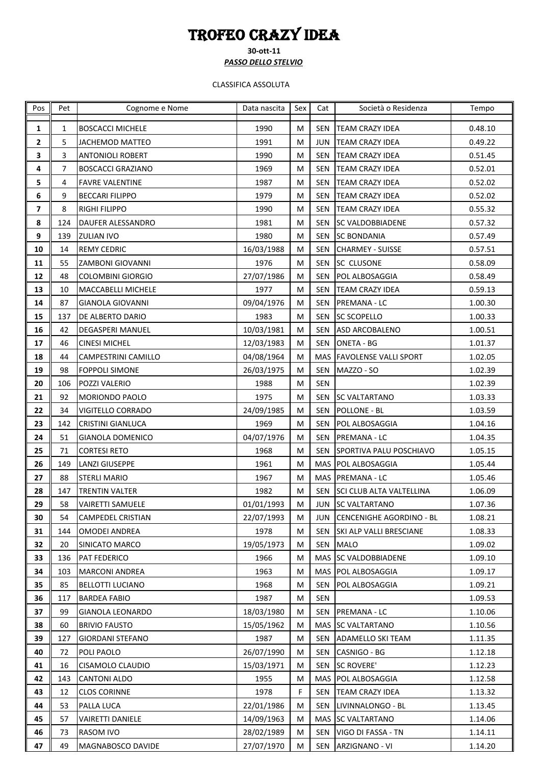## TROFEO CRAZY IDEA

**30-ott-11** *PASSO DELLO STELVIO*

## CLASSIFICA ASSOLUTA

| Pos                     | Pet          | Cognome e Nome            | Data nascita | Sex | Cat | Società o Residenza          | Tempo   |
|-------------------------|--------------|---------------------------|--------------|-----|-----|------------------------------|---------|
| $\mathbf{1}$            | $\mathbf{1}$ | <b>BOSCACCI MICHELE</b>   | 1990         | M   | SEN | <b>TEAM CRAZY IDEA</b>       | 0.48.10 |
| $\overline{2}$          | 5            | <b>JACHEMOD MATTEO</b>    | 1991         | М   | JUN | <b>TEAM CRAZY IDEA</b>       | 0.49.22 |
| 3                       | 3            | <b>ANTONIOLI ROBERT</b>   | 1990         | M   | SEN | <b>TEAM CRAZY IDEA</b>       | 0.51.45 |
| 4                       | 7            | BOSCACCI GRAZIANO         | 1969         | М   | SEN | <b>TEAM CRAZY IDEA</b>       | 0.52.01 |
| 5                       | 4            | <b>FAVRE VALENTINE</b>    | 1987         | M   | SEN | <b>TEAM CRAZY IDEA</b>       | 0.52.02 |
| 6                       | 9            | <b>BECCARI FILIPPO</b>    | 1979         | М   | SEN | <b>TEAM CRAZY IDEA</b>       | 0.52.02 |
| $\overline{\mathbf{z}}$ | 8            | RIGHI FILIPPO             | 1990         | M   |     | SEN TEAM CRAZY IDEA          | 0.55.32 |
| 8                       | 124          | DAUFER ALESSANDRO         | 1981         | М   | SEN | <b>SC VALDOBBIADENE</b>      | 0.57.32 |
| 9                       | 139          | <b>ZULIAN IVO</b>         | 1980         | М   |     | SEN SC BONDANIA              | 0.57.49 |
| 10                      | 14           | <b>REMY CEDRIC</b>        | 16/03/1988   | М   | SEN | <b>CHARMEY - SUISSE</b>      | 0.57.51 |
| 11                      | 55           | ZAMBONI GIOVANNI          | 1976         | м   | SEN | <b>SC CLUSONE</b>            | 0.58.09 |
| 12                      | 48           | <b>COLOMBINI GIORGIO</b>  | 27/07/1986   | M   | SEN | POL ALBOSAGGIA               | 0.58.49 |
| 13                      | 10           | <b>MACCABELLI MICHELE</b> | 1977         | M   | SEN | <b>TEAM CRAZY IDEA</b>       | 0.59.13 |
| 14                      | 87           | <b>GIANOLA GIOVANNI</b>   | 09/04/1976   | M   | SEN | PREMANA - LC                 | 1.00.30 |
| 15                      | 137          | DE ALBERTO DARIO          | 1983         | М   |     | SEN SC SCOPELLO              | 1.00.33 |
| 16                      | 42           | <b>DEGASPERI MANUEL</b>   | 10/03/1981   | M   | SEN | ASD ARCOBALENO               | 1.00.51 |
| 17                      | 46           | <b>CINESI MICHEL</b>      | 12/03/1983   | М   | SEN | <b>ONETA - BG</b>            | 1.01.37 |
| 18                      | 44           | CAMPESTRINI CAMILLO       | 04/08/1964   | M   |     | MAS FAVOLENSE VALLI SPORT    | 1.02.05 |
| 19                      | 98           | <b>FOPPOLI SIMONE</b>     | 26/03/1975   | М   |     | SEN MAZZO - SO               | 1.02.39 |
| 20                      | 106          | POZZI VALERIO             | 1988         | м   | SEN |                              | 1.02.39 |
| 21                      | 92           | MORIONDO PAOLO            | 1975         | М   | SEN | <b>ISC VALTARTANO</b>        | 1.03.33 |
| 22                      | 34           | VIGITELLO CORRADO         | 24/09/1985   | M   | SEN | POLLONE - BL                 | 1.03.59 |
| 23                      | 142          | <b>CRISTINI GIANLUCA</b>  | 1969         | М   | SEN | POL ALBOSAGGIA               | 1.04.16 |
| 24                      | 51           | <b>GIANOLA DOMENICO</b>   | 04/07/1976   | М   | SEN | PREMANA - LC                 | 1.04.35 |
| 25                      | 71           | <b>CORTESI RETO</b>       | 1968         | M   | SEN | SPORTIVA PALU POSCHIAVO      | 1.05.15 |
| 26                      | 149          | <b>LANZI GIUSEPPE</b>     | 1961         | M   |     | MAS POL ALBOSAGGIA           | 1.05.44 |
| 27                      | 88           | <b>STERLI MARIO</b>       | 1967         | М   |     | MAS PREMANA - LC             | 1.05.46 |
| 28                      | 147          | TRENTIN VALTER            | 1982         | М   |     | SEN SCI CLUB ALTA VALTELLINA | 1.06.09 |
| 29                      | 58           | <b>VAIRETTI SAMUELE</b>   | 01/01/1993   | м   |     | JUN SC VALTARTANO            | 1.07.36 |
| 30                      | 54           | <b>CAMPEDEL CRISTIAN</b>  | 22/07/1993   | M   | JUN | CENCENIGHE AGORDINO - BL     | 1.08.21 |
| 31                      | 144          | <b>OMODEI ANDREA</b>      | 1978         | M   |     | SEN SKI ALP VALLI BRESCIANE  | 1.08.33 |
| 32                      | 20           | SINICATO MARCO            | 19/05/1973   | M   | SEN | <b>MALO</b>                  | 1.09.02 |
| 33                      | 136          | PAT FEDERICO              | 1966         | М   |     | MAS ISC VALDOBBIADENE        | 1.09.10 |
| 34                      | 103          | <b>MARCONI ANDREA</b>     | 1963         | м   |     | MAS   POL ALBOSAGGIA         | 1.09.17 |
| 35                      | 85           | <b>BELLOTTI LUCIANO</b>   | 1968         | м   | SEN | <b>POL ALBOSAGGIA</b>        | 1.09.21 |
| 36                      | 117          | <b>BARDEA FABIO</b>       | 1987         | м   | SEN |                              | 1.09.53 |
| 37                      | 99           | GIANOLA LEONARDO          | 18/03/1980   | М   | SEN | <b>PREMANA - LC</b>          | 1.10.06 |
| 38                      | 60           | <b>BRIVIO FAUSTO</b>      | 15/05/1962   | М   |     | MAS SC VALTARTANO            | 1.10.56 |
| 39                      | 127          | <b>GIORDANI STEFANO</b>   | 1987         | M   |     | SEN ADAMELLO SKI TEAM        | 1.11.35 |
| 40                      | 72           | POLI PAOLO                | 26/07/1990   | M   | SEN | CASNIGO - BG                 | 1.12.18 |
| 41                      | 16           | CISAMOLO CLAUDIO          | 15/03/1971   | М   | SEN | <b>SC ROVERE'</b>            | 1.12.23 |
| 42                      | 143          | <b>CANTONI ALDO</b>       | 1955         | M   |     | MAS   POL ALBOSAGGIA         | 1.12.58 |
| 43                      | 12           | <b>CLOS CORINNE</b>       | 1978         | F   | SEN | <b>TEAM CRAZY IDEA</b>       | 1.13.32 |
| 44                      | 53           | PALLA LUCA                | 22/01/1986   | M   |     | SEN LIVINNALONGO - BL        | 1.13.45 |
| 45                      | 57           | <b>VAIRETTI DANIELE</b>   | 14/09/1963   | M   |     | MAS SC VALTARTANO            | 1.14.06 |
| 46                      | 73           | RASOM IVO                 | 28/02/1989   | М   |     | SEN VIGO DI FASSA - TN       | 1.14.11 |
| 47                      | 49           | MAGNABOSCO DAVIDE         | 27/07/1970   | M   |     | SEN ARZIGNANO - VI           | 1.14.20 |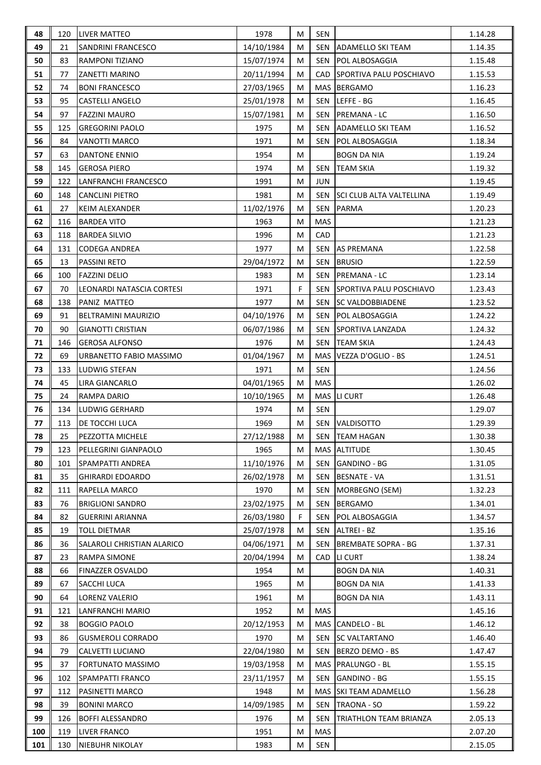| 48  | 120 | <b>LIVER MATTEO</b>        | 1978       | М           | SEN        |                                 | 1.14.28 |
|-----|-----|----------------------------|------------|-------------|------------|---------------------------------|---------|
| 49  | 21  | SANDRINI FRANCESCO         | 14/10/1984 | M           | SEN        | ADAMELLO SKI TEAM               | 1.14.35 |
| 50  | 83  | RAMPONI TIZIANO            | 15/07/1974 | M           | SEN        | <b>POL ALBOSAGGIA</b>           | 1.15.48 |
| 51  | 77  | ZANETTI MARINO             | 20/11/1994 | M           | CAD.       | SPORTIVA PALU POSCHIAVO         | 1.15.53 |
| 52  | 74  | <b>BONI FRANCESCO</b>      | 27/03/1965 | M           |            | MAS BERGAMO                     | 1.16.23 |
| 53  | 95  | <b>CASTELLI ANGELO</b>     | 25/01/1978 | M           | <b>SEN</b> | LEFFE - BG                      | 1.16.45 |
| 54  | 97  | <b>FAZZINI MAURO</b>       | 15/07/1981 | M           | <b>SEN</b> | PREMANA - LC                    | 1.16.50 |
| 55  | 125 | <b>GREGORINI PAOLO</b>     | 1975       | M           | <b>SEN</b> | ADAMELLO SKI TEAM               | 1.16.52 |
| 56  | 84  | VANOTTI MARCO              | 1971       | М           | SEN        | POL ALBOSAGGIA                  | 1.18.34 |
| 57  | 63  | <b>DANTONE ENNIO</b>       | 1954       | M           |            | <b>BOGN DA NIA</b>              | 1.19.24 |
| 58  | 145 | <b>GEROSA PIERO</b>        | 1974       | М           | SEN        | <b>TEAM SKIA</b>                | 1.19.32 |
| 59  | 122 | LANFRANCHI FRANCESCO       | 1991       | M           | JUN        |                                 | 1.19.45 |
| 60  | 148 | <b>CANCLINI PIETRO</b>     | 1981       | М           | SEN        | <b>SCI CLUB ALTA VALTELLINA</b> | 1.19.49 |
| 61  | 27  | <b>KEIM ALEXANDER</b>      | 11/02/1976 | M           | SEN        | <b>PARMA</b>                    | 1.20.23 |
| 62  | 116 | <b>BARDEA VITO</b>         | 1963       | М           | <b>MAS</b> |                                 | 1.21.23 |
| 63  | 118 | <b>BARDEA SILVIO</b>       | 1996       | M           | CAD        |                                 | 1.21.23 |
| 64  | 131 | <b>CODEGA ANDREA</b>       | 1977       | М           | SEN        | <b>AS PREMANA</b>               | 1.22.58 |
| 65  | 13  | PASSINI RETO               | 29/04/1972 | M           | <b>SEN</b> | <b>BRUSIO</b>                   | 1.22.59 |
| 66  | 100 | <b>FAZZINI DELIO</b>       | 1983       | M           | SEN        | PREMANA - LC                    | 1.23.14 |
| 67  | 70  | LEONARDI NATASCIA CORTESI  | 1971       | $\mathsf F$ | <b>SEN</b> | <b>SPORTIVA PALU POSCHIAVO</b>  | 1.23.43 |
| 68  | 138 | PANIZ MATTEO               | 1977       | M           | SEN        | <b>SC VALDOBBIADENE</b>         | 1.23.52 |
| 69  | 91  | BELTRAMINI MAURIZIO        | 04/10/1976 | M           | <b>SEN</b> | POL ALBOSAGGIA                  | 1.24.22 |
| 70  | 90  | <b>GIANOTTI CRISTIAN</b>   | 06/07/1986 | M           | SEN        | SPORTIVA LANZADA                | 1.24.32 |
| 71  | 146 | <b>GEROSA ALFONSO</b>      | 1976       | M           | SEN        | <b>TEAM SKIA</b>                | 1.24.43 |
| 72  | 69  | URBANETTO FABIO MASSIMO    | 01/04/1967 | M           |            | MAS VEZZA D'OGLIO - BS          | 1.24.51 |
| 73  | 133 | LUDWIG STEFAN              | 1971       | M           | <b>SEN</b> |                                 | 1.24.56 |
| 74  | 45  | <b>LIRA GIANCARLO</b>      | 04/01/1965 | M           | MAS        |                                 | 1.26.02 |
| 75  | 24  | RAMPA DARIO                | 10/10/1965 | M           |            | MAS ILI CURT                    | 1.26.48 |
| 76  | 134 | <b>LUDWIG GERHARD</b>      | 1974       | M           | SEN        |                                 | 1.29.07 |
| 77  | 113 | DE TOCCHI LUCA             | 1969       | M           |            | SEN VALDISOTTO                  | 1.29.39 |
| 78  | 25  | PEZZOTTA MICHELE           | 27/12/1988 | M           | SEN        | <b>TEAM HAGAN</b>               | 1.30.38 |
| 79  | 123 | PELLEGRINI GIANPAOLO       | 1965       | М           |            | MAS ALTITUDE                    | 1.30.45 |
| 80  | 101 | <b>SPAMPATTI ANDREA</b>    | 11/10/1976 | М           | SEN        | <b>GANDINO - BG</b>             | 1.31.05 |
| 81  | 35  | <b>GHIRARDI EDOARDO</b>    | 26/02/1978 | М           | SEN        | <b>BESNATE - VA</b>             | 1.31.51 |
| 82  | 111 | RAPELLA MARCO              | 1970       | М           | SEN        | MORBEGNO (SEM)                  | 1.32.23 |
| 83  | 76  | <b>BRIGLIONI SANDRO</b>    | 23/02/1975 | M           | <b>SEN</b> | <b>BERGAMO</b>                  | 1.34.01 |
| 84  | 82  | <b>GUERRINI ARIANNA</b>    | 26/03/1980 | F.          | SEN        | POL ALBOSAGGIA                  | 1.34.57 |
| 85  | 19  | TOLL DIETMAR               | 25/07/1978 | М           | SEN        | <b>ALTREI - BZ</b>              | 1.35.16 |
| 86  | 36  | SALAROLI CHRISTIAN ALARICO | 04/06/1971 | М           | SEN        | <b>BREMBATE SOPRA - BG</b>      | 1.37.31 |
| 87  | 23  | RAMPA SIMONE               | 20/04/1994 | M           | CAD        | LI CURT                         | 1.38.24 |
| 88  | 66  | FINAZZER OSVALDO           | 1954       | М           |            | BOGN DA NIA                     | 1.40.31 |
| 89  | 67  | SACCHI LUCA                | 1965       | М           |            | <b>BOGN DA NIA</b>              | 1.41.33 |
| 90  | 64  | LORENZ VALERIO             | 1961       | М           |            | <b>BOGN DA NIA</b>              | 1.43.11 |
| 91  | 121 | LANFRANCHI MARIO           | 1952       | М           | <b>MAS</b> |                                 | 1.45.16 |
| 92  | 38  | <b>BOGGIO PAOLO</b>        | 20/12/1953 | М           |            | MAS CANDELO - BL                | 1.46.12 |
| 93  | 86  | <b>GUSMEROLI CORRADO</b>   | 1970       | M           | <b>SEN</b> | <b>SC VALTARTANO</b>            | 1.46.40 |
| 94  | 79  | CALVETTI LUCIANO           | 22/04/1980 | М           | SEN        | BERZO DEMO - BS                 | 1.47.47 |
| 95  | 37  | FORTUNATO MASSIMO          | 19/03/1958 | М           | MAS        | PRALUNGO - BL                   | 1.55.15 |
| 96  | 102 | SPAMPATTI FRANCO           | 23/11/1957 | М           | SEN        | GANDINO - BG                    | 1.55.15 |
| 97  | 112 | PASINETTI MARCO            | 1948       | М           |            | MAS ISKI TEAM ADAMELLO          | 1.56.28 |
| 98  | 39  | <b>BONINI MARCO</b>        | 14/09/1985 | М           | SEN        | <b>TRAONA - SO</b>              | 1.59.22 |
| 99  | 126 | <b>BOFFI ALESSANDRO</b>    | 1976       | М           | SEN        | TRIATHLON TEAM BRIANZA          | 2.05.13 |
| 100 | 119 | <b>LIVER FRANCO</b>        | 1951       | M           | <b>MAS</b> |                                 | 2.07.20 |
| 101 | 130 | <b>NIEBUHR NIKOLAY</b>     | 1983       | М           | SEN        |                                 | 2.15.05 |